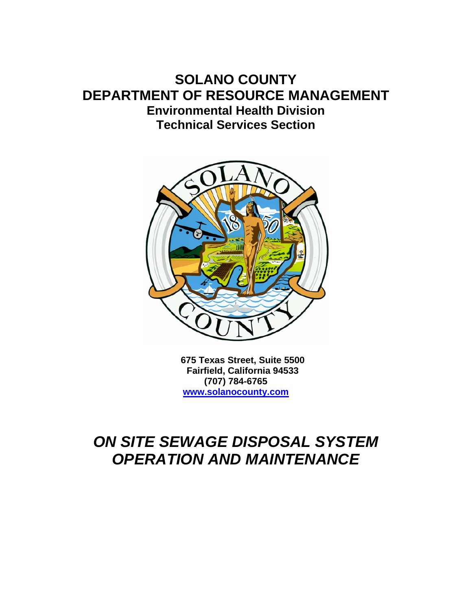## **SOLANO COUNTY DEPARTMENT OF RESOURCE MANAGEMENT Environmental Health Division Technical Services Section**



**675 Texas Street, Suite 5500 Fairfield, California 94533 (707) 784-6765 www.solanocounty.com**

# *ON SITE SEWAGE DISPOSAL SYSTEM OPERATION AND MAINTENANCE*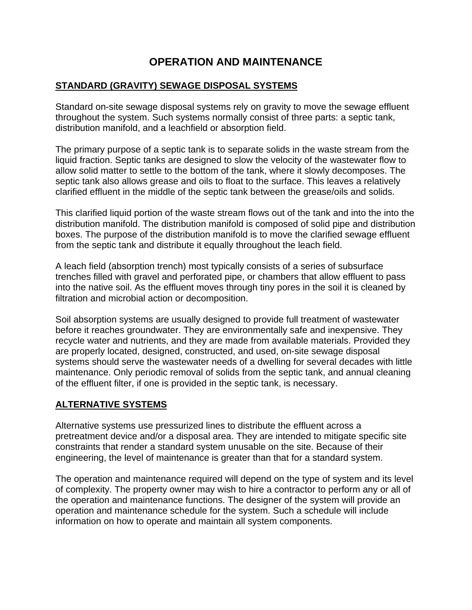### **OPERATION AND MAINTENANCE**

#### **STANDARD (GRAVITY) SEWAGE DISPOSAL SYSTEMS**

Standard on-site sewage disposal systems rely on gravity to move the sewage effluent throughout the system. Such systems normally consist of three parts: a septic tank, distribution manifold, and a leachfield or absorption field.

The primary purpose of a septic tank is to separate solids in the waste stream from the liquid fraction. Septic tanks are designed to slow the velocity of the wastewater flow to allow solid matter to settle to the bottom of the tank, where it slowly decomposes. The septic tank also allows grease and oils to float to the surface. This leaves a relatively clarified effluent in the middle of the septic tank between the grease/oils and solids.

This clarified liquid portion of the waste stream flows out of the tank and into the into the distribution manifold. The distribution manifold is composed of solid pipe and distribution boxes. The purpose of the distribution manifold is to move the clarified sewage effluent from the septic tank and distribute it equally throughout the leach field.

A leach field (absorption trench) most typically consists of a series of subsurface trenches filled with gravel and perforated pipe, or chambers that allow effluent to pass into the native soil. As the effluent moves through tiny pores in the soil it is cleaned by filtration and microbial action or decomposition.

Soil absorption systems are usually designed to provide full treatment of wastewater before it reaches groundwater. They are environmentally safe and inexpensive. They recycle water and nutrients, and they are made from available materials. Provided they are properly located, designed, constructed, and used, on-site sewage disposal systems should serve the wastewater needs of a dwelling for several decades with little maintenance. Only periodic removal of solids from the septic tank, and annual cleaning of the effluent filter, if one is provided in the septic tank, is necessary.

#### **ALTERNATIVE SYSTEMS**

Alternative systems use pressurized lines to distribute the effluent across a pretreatment device and/or a disposal area. They are intended to mitigate specific site constraints that render a standard system unusable on the site. Because of their engineering, the level of maintenance is greater than that for a standard system.

The operation and maintenance required will depend on the type of system and its level of complexity. The property owner may wish to hire a contractor to perform any or all of the operation and maintenance functions. The designer of the system will provide an operation and maintenance schedule for the system. Such a schedule will include information on how to operate and maintain all system components.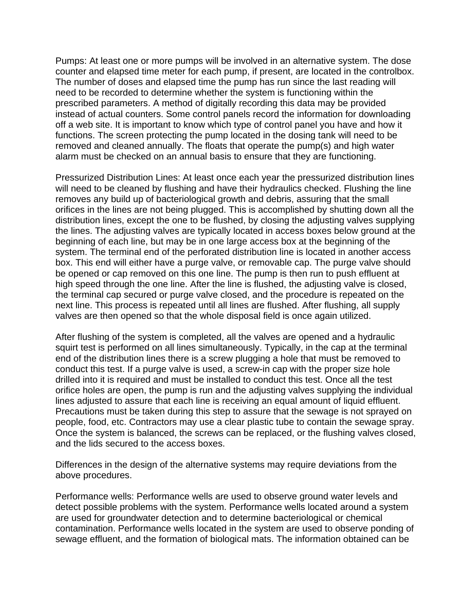Pumps: At least one or more pumps will be involved in an alternative system. The dose counter and elapsed time meter for each pump, if present, are located in the controlbox. The number of doses and elapsed time the pump has run since the last reading will need to be recorded to determine whether the system is functioning within the prescribed parameters. A method of digitally recording this data may be provided instead of actual counters. Some control panels record the information for downloading off a web site. It is important to know which type of control panel you have and how it functions. The screen protecting the pump located in the dosing tank will need to be removed and cleaned annually. The floats that operate the pump(s) and high water alarm must be checked on an annual basis to ensure that they are functioning.

Pressurized Distribution Lines: At least once each year the pressurized distribution lines will need to be cleaned by flushing and have their hydraulics checked. Flushing the line removes any build up of bacteriological growth and debris, assuring that the small orifices in the lines are not being plugged. This is accomplished by shutting down all the distribution lines, except the one to be flushed, by closing the adjusting valves supplying the lines. The adjusting valves are typically located in access boxes below ground at the beginning of each line, but may be in one large access box at the beginning of the system. The terminal end of the perforated distribution line is located in another access box. This end will either have a purge valve, or removable cap. The purge valve should be opened or cap removed on this one line. The pump is then run to push effluent at high speed through the one line. After the line is flushed, the adjusting valve is closed, the terminal cap secured or purge valve closed, and the procedure is repeated on the next line. This process is repeated until all lines are flushed. After flushing, all supply valves are then opened so that the whole disposal field is once again utilized.

After flushing of the system is completed, all the valves are opened and a hydraulic squirt test is performed on all lines simultaneously. Typically, in the cap at the terminal end of the distribution lines there is a screw plugging a hole that must be removed to conduct this test. If a purge valve is used, a screw-in cap with the proper size hole drilled into it is required and must be installed to conduct this test. Once all the test orifice holes are open, the pump is run and the adjusting valves supplying the individual lines adjusted to assure that each line is receiving an equal amount of liquid effluent. Precautions must be taken during this step to assure that the sewage is not sprayed on people, food, etc. Contractors may use a clear plastic tube to contain the sewage spray. Once the system is balanced, the screws can be replaced, or the flushing valves closed, and the lids secured to the access boxes.

Differences in the design of the alternative systems may require deviations from the above procedures.

Performance wells: Performance wells are used to observe ground water levels and detect possible problems with the system. Performance wells located around a system are used for groundwater detection and to determine bacteriological or chemical contamination. Performance wells located in the system are used to observe ponding of sewage effluent, and the formation of biological mats. The information obtained can be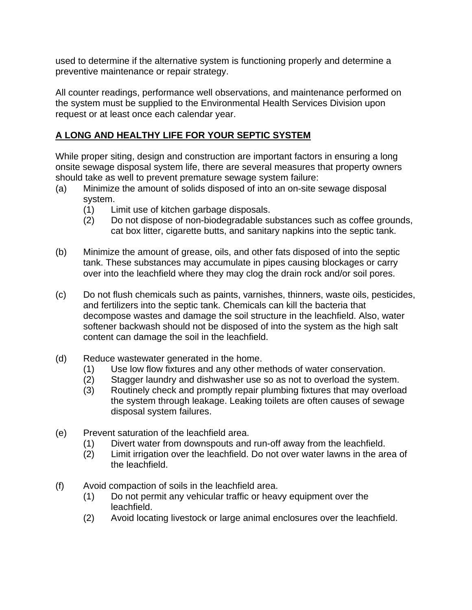used to determine if the alternative system is functioning properly and determine a preventive maintenance or repair strategy.

All counter readings, performance well observations, and maintenance performed on the system must be supplied to the Environmental Health Services Division upon request or at least once each calendar year.

#### **A LONG AND HEALTHY LIFE FOR YOUR SEPTIC SYSTEM**

While proper siting, design and construction are important factors in ensuring a long onsite sewage disposal system life, there are several measures that property owners should take as well to prevent premature sewage system failure:

- (a) Minimize the amount of solids disposed of into an on-site sewage disposal system.
	- (1) Limit use of kitchen garbage disposals.
	- (2) Do not dispose of non-biodegradable substances such as coffee grounds, cat box litter, cigarette butts, and sanitary napkins into the septic tank.
- (b) Minimize the amount of grease, oils, and other fats disposed of into the septic tank. These substances may accumulate in pipes causing blockages or carry over into the leachfield where they may clog the drain rock and/or soil pores.
- (c) Do not flush chemicals such as paints, varnishes, thinners, waste oils, pesticides, and fertilizers into the septic tank. Chemicals can kill the bacteria that decompose wastes and damage the soil structure in the leachfield. Also, water softener backwash should not be disposed of into the system as the high salt content can damage the soil in the leachfield.
- (d) Reduce wastewater generated in the home.
	- (1) Use low flow fixtures and any other methods of water conservation.
	- (2) Stagger laundry and dishwasher use so as not to overload the system.
	- (3) Routinely check and promptly repair plumbing fixtures that may overload the system through leakage. Leaking toilets are often causes of sewage disposal system failures.
- (e) Prevent saturation of the leachfield area.
	- (1) Divert water from downspouts and run-off away from the leachfield.
	- (2) Limit irrigation over the leachfield. Do not over water lawns in the area of the leachfield.
- (f) Avoid compaction of soils in the leachfield area.
	- (1) Do not permit any vehicular traffic or heavy equipment over the leachfield.
	- (2) Avoid locating livestock or large animal enclosures over the leachfield.